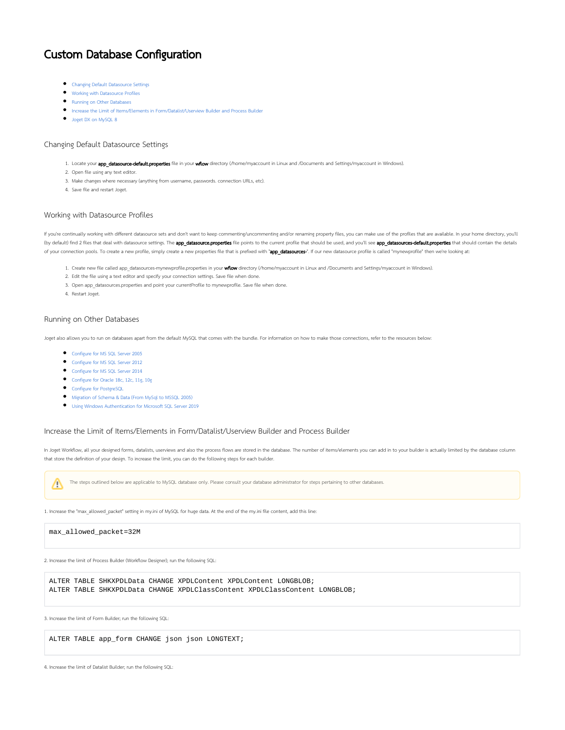# Custom Database Configuration

- [Changing Default Datasource Settings](#page-0-0)
- [Working with Datasource Profiles](#page-0-1)
- **•** [Running on Other Databases](#page-0-2)
- **[Increase the Limit of Items/Elements in Form/Datalist/Userview Builder and Process Builder](#page-0-3)**
- $\bullet$  [Joget DX on MySQL 8](#page-1-0)

#### <span id="page-0-0"></span>Changing Default Datasource Settings

- 1. Locate your app\_datasource-default.properties file in your wflow directory (/home/myaccount in Linux and /Documents and Settings/myaccount in Windows).
- 2. Open file using any text editor.
- 3. Make changes where necessary (anything from username, passwords. connection URLs, etc).
- 4. Save file and restart Joget.

#### <span id="page-0-1"></span>Working with Datasource Profiles

If you're continually working with different datasource sets and don't want to keep commenting/uncommenting and/or renaming property files, you can make use of the profiles that are available. In your home directory, you'll (by default) find 2 files that deal with datasource settings. The app\_datasource.properties file points to the current profile that should be used, and you'll see app\_datasources-default.properties that should contain the of your connection pools. To create a new profile, simply create a new properties file that is prefixed with "app\_datasources-". If our new datasource profile is called "mynewprofile" then we're looking at:

- 1. Create new file called app\_datasources-mynewprofile.properties in your wflow directory (/home/myaccount in Linux and /Documents and Settings/myaccount in Windows).
- 2. Edit the file using a text editor and specify your connection settings. Save file when done.
- 3. Open app\_datasources.properties and point your currentProfile to mynewprofile. Save file when done.
- 4. Restart Joget.

## <span id="page-0-2"></span>Running on Other Databases

Joget also allows you to run on databases apart from the default MySQL that comes with the bundle. For information on how to make those connections, refer to the resources below:

- [Configure for MS SQL Server 2005](https://dev.joget.org/community/display/DX7/Configure+for+MS+SQL+Server+2005)
- [Configure for MS SQL Server 2012](https://dev.joget.org/community/display/DX7/Configure+for+MS+SQL+Server+2012)
- [Configure for MS SQL Server 2014](https://dev.joget.org/community/display/DX7/Configure+for+MS+SQL+Server+2014)
- [Configure for Oracle 18c, 12c, 11g, 10g](https://dev.joget.org/community/display/DX7/Configure+for+Oracle+18c%2C+12c%2C+11g%2C+10g)
- **[Configure for PostgreSQL](https://dev.joget.org/community/display/DX7/Configure+for+PostgreSQL)**
- [Migration of Schema & Data \(From MySql to MSSQL 2005\)](https://dev.joget.org/community/pages/viewpage.action?pageId=66814279)
- [Using Windows Authentication for Microsoft SQL Server 2019](https://dev.joget.org/community/display/DX7/Using+Windows+Authentication+for+Microsoft+SQL+Server+2019)

## <span id="page-0-3"></span>Increase the Limit of Items/Elements in Form/Datalist/Userview Builder and Process Builder

In Joget Workflow, all your designed forms, datalists, userviews and also the process flows are stored in the database. The number of items/elements you can add in to your builder is actually limited by the database column that store the definition of your design. To increase the limit, you can do the following steps for each builder.

The steps outlined below are applicable to MySQL database only. Please consult your database administrator for steps pertaining to other databases. ∧

1. Increase the "max allowed packet" setting in my.ini of MySQL for huge data. At the end of the my.ini file content, add this line:

#### max\_allowed\_packet=32M

2. Increase the limit of Process Builder (Workflow Designer); run the following SQL:

ALTER TABLE SHKXPDLData CHANGE XPDLContent XPDLContent LONGBLOB; ALTER TABLE SHKXPDLData CHANGE XPDLClassContent XPDLClassContent LONGBLOB;

3. Increase the limit of Form Builder; run the following SQL:

ALTER TABLE app\_form CHANGE json json LONGTEXT;

4. Increase the limit of Datalist Builder; run the following SQL: